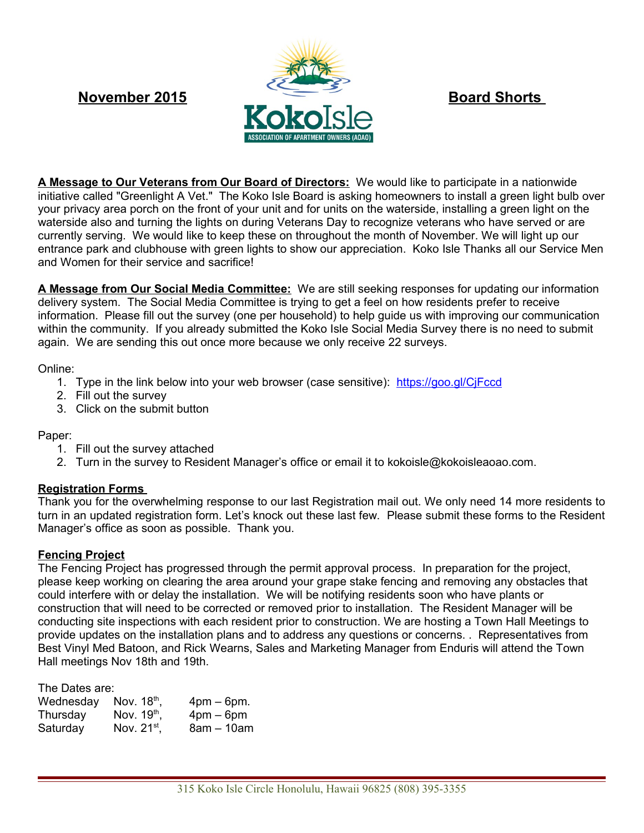

**A Message to Our Veterans from Our Board of Directors:** We would like to participate in a nationwide initiative called "Greenlight A Vet." The Koko Isle Board is asking homeowners to install a green light bulb over your privacy area porch on the front of your unit and for units on the waterside, installing a green light on the waterside also and turning the lights on during Veterans Day to recognize veterans who have served or are currently serving. We would like to keep these on throughout the month of November. We will light up our entrance park and clubhouse with green lights to show our appreciation. Koko Isle Thanks all our Service Men and Women for their service and sacrifice!

**A Message from Our Social Media Committee:** We are still seeking responses for updating our information delivery system. The Social Media Committee is trying to get a feel on how residents prefer to receive information. Please fill out the survey (one per household) to help guide us with improving our communication within the community. If you already submitted the Koko Isle Social Media Survey there is no need to submit again. We are sending this out once more because we only receive 22 surveys.

Online:

- 1. Type in the link below into your web browser (case sensitive): <https://goo.gl/CjFccd>
- 2. Fill out the survey
- 3. Click on the submit button

## Paper:

- 1. Fill out the survey attached
- 2. Turn in the survey to Resident Manager's office or email it to kokoisle@kokoisleaoao.com.

# **Registration Forms**

Thank you for the overwhelming response to our last Registration mail out. We only need 14 more residents to turn in an updated registration form. Let's knock out these last few. Please submit these forms to the Resident Manager's office as soon as possible. Thank you.

# **Fencing Project**

The Fencing Project has progressed through the permit approval process. In preparation for the project, please keep working on clearing the area around your grape stake fencing and removing any obstacles that could interfere with or delay the installation. We will be notifying residents soon who have plants or construction that will need to be corrected or removed prior to installation. The Resident Manager will be conducting site inspections with each resident prior to construction. We are hosting a Town Hall Meetings to provide updates on the installation plans and to address any questions or concerns. . Representatives from Best Vinyl Med Batoon, and Rick Wearns, Sales and Marketing Manager from Enduris will attend the Town Hall meetings Nov 18th and 19th.

| The Dates are: |                         |                               |
|----------------|-------------------------|-------------------------------|
| Wednesday      | Nov. $18th$ ,           | $4 \text{pm} - 6 \text{pm}$ . |
| Thursday       | Nov. 19 <sup>th</sup> , | $4$ pm $-$ 6pm                |
| Saturday       | Nov. $21^{st}$ ,        | $8am - 10am$                  |